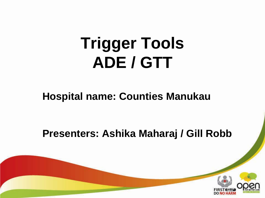# **Trigger Tools ADE / GTT**

#### **Hospital name: Counties Manukau**

#### **Presenters: Ashika Maharaj / Gill Robb**

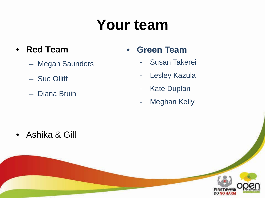## **Your team**

- **Red Team**
	- Megan Saunders
	- Sue Olliff
	- Diana Bruin
- **Green Team** 
	- Susan Takerei
	- Lesley Kazula
	- Kate Duplan
	- Meghan Kelly

• Ashika & Gill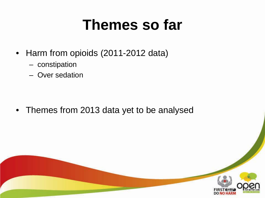### **Themes so far**

- Harm from opioids (2011-2012 data)
	- constipation
	- Over sedation

• Themes from 2013 data yet to be analysed

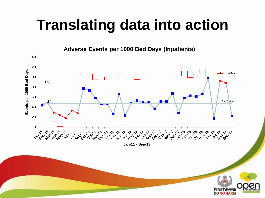### **Translating data into action**

**Adverse Events per 1000 Bed Days (Inpatients)**



**Jan-11 - Sep-13**

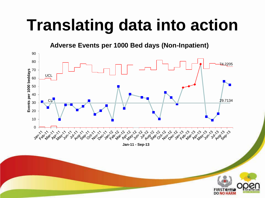# **Translating data into action**

**Adverse Events per 1000 Bed days (Non-Inpatient)**



**Jan-11 - Sep-13**

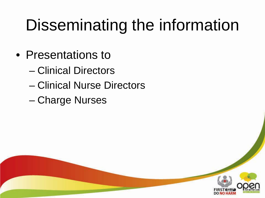# Disseminating the information

- Presentations to
	- Clinical Directors
	- Clinical Nurse Directors
	- Charge Nurses

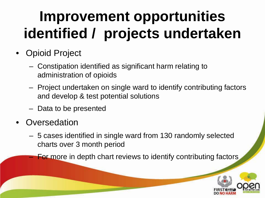## **Improvement opportunities identified / projects undertaken**

- Opioid Project
	- Constipation identified as significant harm relating to administration of opioids
	- Project undertaken on single ward to identify contributing factors and develop & test potential solutions
	- Data to be presented
- **Oversedation** 
	- 5 cases identified in single ward from 130 randomly selected charts over 3 month period
	- **For more in depth chart reviews to identify contributing factors**

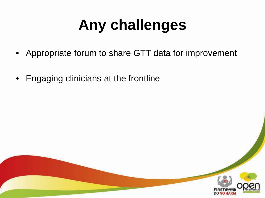# **Any challenges**

- Appropriate forum to share GTT data for improvement
- Engaging clinicians at the frontline

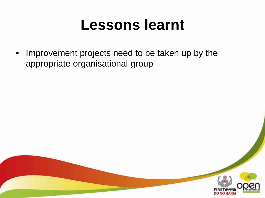#### **Lessons learnt**

Improvement projects need to be taken up by the appropriate organisational group

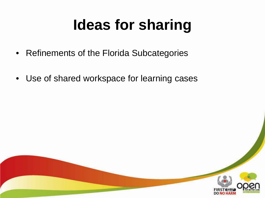# **Ideas for sharing**

- Refinements of the Florida Subcategories
- Use of shared workspace for learning cases